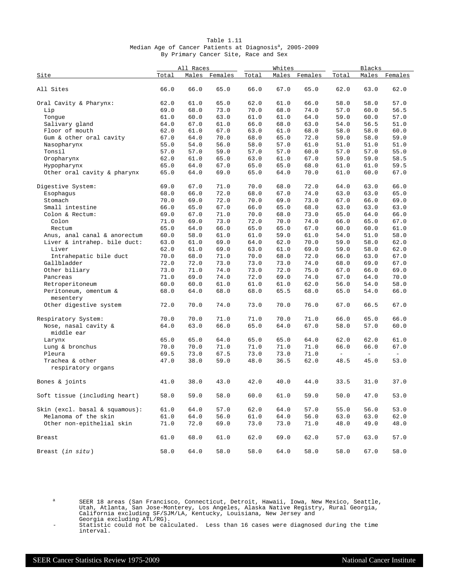|  |  |                                      | Table 1.11 |  |  |                                                                     |  |
|--|--|--------------------------------------|------------|--|--|---------------------------------------------------------------------|--|
|  |  |                                      |            |  |  | Median Age of Cancer Patients at Diagnosis <sup>a</sup> , 2005-2009 |  |
|  |  | By Primary Cancer Site, Race and Sex |            |  |  |                                                                     |  |

|                                    | All Races |      |               |       | Whites |               | Blacks        |      |               |  |
|------------------------------------|-----------|------|---------------|-------|--------|---------------|---------------|------|---------------|--|
| Site                               | Total     |      | Males Females | Total |        | Males Females | Total         |      | Males Females |  |
| All Sites                          | 66.0      | 66.0 | 65.0          | 66.0  | 67.0   | 65.0          | 62.0          | 63.0 | 62.0          |  |
| Oral Cavity & Pharynx:             | 62.0      | 61.0 | 65.0          | 62.0  | 61.0   | 66.0          | 58.0          | 58.0 | 57.0          |  |
| Lip                                | 69.0      | 68.0 | 73.0          | 70.0  | 68.0   | 74.0          | 57.0          | 60.0 | 56.5          |  |
| Tonque                             | 61.0      | 60.0 | 63.0          | 61.0  | 61.0   | 64.0          | 59.0          | 60.0 | 57.0          |  |
| Salivary gland                     | 64.0      | 67.0 | 61.0          | 66.0  | 68.0   | 63.0          | 54.0          | 56.5 | 51.0          |  |
| Floor of mouth                     | 62.0      | 61.0 | 67.0          | 63.0  | 61.0   | 68.0          | 58.0          | 58.0 | 60.0          |  |
| Gum & other oral cavity            | 67.0      | 64.0 | 70.0          | 68.0  | 65.0   | 72.0          | 59.0          | 58.0 | 59.0          |  |
| Nasopharynx                        | 55.0      | 54.0 | 56.0          | 58.0  | 57.0   | 61.0          | 51.0          | 51.0 | 51.0          |  |
| Tonsil                             | 57.0      | 57.0 | 59.0          | 57.0  | 57.0   | 60.0          | 57.0          | 57.0 | 55.0          |  |
| Oropharynx                         | 62.0      | 61.0 | 65.0          | 63.0  | 61.0   | 67.0          | 59.0          | 59.0 | 58.5          |  |
| Hypopharynx                        | 65.0      | 64.0 | 67.0          | 65.0  | 65.0   | 68.0          | 61.0          | 61.0 | 59.5          |  |
| Other oral cavity & pharynx        | 65.0      | 64.0 | 69.0          | 65.0  | 64.0   | 70.0          | 61.0          | 60.0 | 67.0          |  |
| Digestive System:                  | 69.0      | 67.0 | 71.0          | 70.0  | 68.0   | 72.0          | 64.0          | 63.0 | 66.0          |  |
| Esophagus                          | 68.0      | 66.0 | 72.0          | 68.0  | 67.0   | 74.0          | 63.0          | 63.0 | 65.0          |  |
| Stomach                            | 70.0      | 69.0 | 72.0          | 70.0  | 69.0   | 73.0          | 67.0          | 66.0 | 69.0          |  |
| Small intestine                    | 66.0      | 65.0 | 67.0          | 66.0  | 65.0   | 68.0          | 63.0          | 63.0 | 63.0          |  |
| Colon & Rectum:                    | 69.0      | 67.0 | 71.0          | 70.0  | 68.0   | 73.0          | 65.0          | 64.0 | 66.0          |  |
| Colon                              | 71.0      | 69.0 | 73.0          | 72.0  | 70.0   | 74.0          | 66.0          | 65.0 | 67.0          |  |
| Rectum                             | 65.0      | 64.0 | 66.0          | 65.0  | 65.0   | 67.0          | 60.0          | 60.0 | 61.0          |  |
| Anus, anal canal & anorectum       | 60.0      | 58.0 | 61.0          | 61.0  | 59.0   | 61.0          | 54.0          | 51.0 | 58.0          |  |
| Liver & intrahep. bile duct:       | 63.0      | 61.0 | 69.0          | 64.0  | 62.0   | 70.0          | 59.0          | 58.0 | 62.0          |  |
| Liver                              | 62.0      | 61.0 | 69.0          | 63.0  | 61.0   | 69.0          | 59.0          | 58.0 | 62.0          |  |
| Intrahepatic bile duct             | 70.0      | 68.0 | 71.0          | 70.0  | 68.0   | 72.0          | 66.0          | 63.0 | 67.0          |  |
| Gallbladder                        | 72.0      | 72.0 | 73.0          | 73.0  | 73.0   | 74.0          | 68.0          | 69.0 | 67.0          |  |
| Other biliary                      | 73.0      | 71.0 | 74.0          | 73.0  | 72.0   | 75.0          | 67.0          | 66.0 | 69.0          |  |
| Pancreas                           | 71.0      | 69.0 | 74.0          | 72.0  | 69.0   | 74.0          | 67.0          | 64.0 | 70.0          |  |
| Retroperitoneum                    | 60.0      | 60.0 | 61.0          | 61.0  | 61.0   | 62.0          | 56.0          | 54.0 | 58.0          |  |
| Peritoneum, omentum &<br>mesentery | 68.0      | 64.0 | 68.0          | 68.0  | 65.5   | 68.0          | 65.0          | 54.0 | 66.0          |  |
| Other digestive system             | 72.0      | 70.0 | 74.0          | 73.0  | 70.0   | 76.0          | 67.0          | 66.5 | 67.0          |  |
| Respiratory System:                | 70.0      | 70.0 | 71.0          | 71.0  | 70.0   | 71.0          | 66.0          | 65.0 | 66.0          |  |
| Nose, nasal cavity &<br>middle ear | 64.0      | 63.0 | 66.0          | 65.0  | 64.0   | 67.0          | 58.0          | 57.0 | 60.0          |  |
| Larynx                             | 65.0      | 65.0 | 64.0          | 65.0  | 65.0   | 64.0          | 62.0          | 62.0 | 61.0          |  |
| Lung & bronchus                    | 70.0      | 70.0 | 71.0          | 71.0  | 71.0   | 71.0          | 66.0          | 66.0 | 67.0          |  |
| Pleura                             | 69.5      | 73.0 | 67.5          | 73.0  | 73.0   | 71.0          | $\frac{1}{2}$ | $-$  | $\equiv$      |  |
| Trachea & other                    | 47.0      | 38.0 | 59.0          | 48.0  | 36.5   | 62.0          | 48.5          | 45.0 | 53.0          |  |
| respiratory organs                 |           |      |               |       |        |               |               |      |               |  |
| Bones & joints                     | 41.0      | 38.0 | 43.0          | 42.0  | 40.0   | 44.0          | 33.5          | 31.0 | 37.0          |  |
| Soft tissue (including heart)      | 58.0      | 59.0 | 58.0          | 60.0  | 61.0   | 59.0          | 50.0          | 47.0 | 53.0          |  |
| Skin (excl. basal & squamous):     | 61.0      | 64.0 | 57.0          | 62.0  | 64.0   | 57.0          | 55.0          | 56.0 | 53.0          |  |
| Melanoma of the skin               | 61.0      | 64.0 | 56.0          | 61.0  | 64.0   | 56.0          | 63.0          | 63.0 | 62.0          |  |
| Other non-epithelial skin          | 71.0      | 72.0 | 69.0          | 73.0  | 73.0   | 71.0          | 48.0          | 49.0 | 48.0          |  |
| Breast                             | 61.0      | 68.0 | 61.0          | 62.0  | 69.0   | 62.0          | 57.0          | 63.0 | 57.0          |  |
| Breast (in situ)                   | 58.0      | 64.0 | 58.0          | 58.0  | 64.0   | 58.0          | 58.0          | 67.0 | 58.0          |  |

a SEER 18 areas (San Francisco, Connecticut, Detroit, Hawaii, Iowa, New Mexico, Seattle, Utah, Atlanta, San Jose-Monterey, Los Angeles, Alaska Native Registry, Rural Georgia, California excluding SF/SJM/LA, Kentucky, Louisiana, New Jersey and Georgia excluding ATL/RG).

- Statistic could not be calculated. Less than 16 cases were diagnosed during the time interval.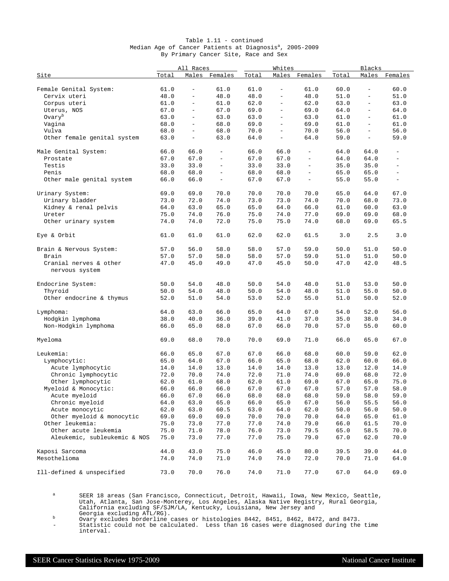| Table $1.11$ - continued                                            |  |  |                                      |  |  |  |  |  |  |  |  |  |
|---------------------------------------------------------------------|--|--|--------------------------------------|--|--|--|--|--|--|--|--|--|
| Median Age of Cancer Patients at Diagnosis <sup>a</sup> , 2005-2009 |  |  |                                      |  |  |  |  |  |  |  |  |  |
|                                                                     |  |  | By Primary Cancer Site, Race and Sex |  |  |  |  |  |  |  |  |  |

|                                          |       | All Races                |                          |       | Whites                   |                          | Blacks   |                          |                          |  |
|------------------------------------------|-------|--------------------------|--------------------------|-------|--------------------------|--------------------------|----------|--------------------------|--------------------------|--|
| Site                                     | Total | Males                    | Females                  | Total | Males                    | Females                  | Total    | Males                    | Females                  |  |
| Female Genital System:                   | 61.0  | $\overline{\phantom{a}}$ | 61.0                     | 61.0  | $\bar{ }$                | 61.0                     | 60.0     | $\overline{\phantom{a}}$ | 60.0                     |  |
| Cervix uteri                             | 48.0  | $\overline{\phantom{0}}$ | 48.0                     | 48.0  | $\overline{\phantom{0}}$ | 48.0                     | 51.0     |                          | 51.0                     |  |
| Corpus uteri                             | 61.0  | $\overline{\phantom{a}}$ | 61.0                     | 62.0  | $\equiv$                 | 62.0                     | 63.0     | $\equiv$                 | 63.0                     |  |
| Uterus, NOS                              | 67.0  | $\overline{\phantom{0}}$ | 67.0                     | 69.0  | $\qquad \qquad -$        | 69.0                     | 64.0     | $\overline{\phantom{a}}$ | 64.0                     |  |
| Ovary <sup>b</sup>                       | 63.0  | $\overline{\phantom{a}}$ | 63.0                     | 63.0  | $\qquad \qquad -$        | 63.0                     | 61.0     |                          | 61.0                     |  |
| Vagina                                   | 68.0  | $\equiv$                 | 68.0                     | 69.0  | $\overline{\phantom{0}}$ | 69.0                     | 61.0     | $\overline{\phantom{a}}$ | 61.0                     |  |
| Vulva                                    | 68.0  | $\overline{\phantom{a}}$ | 68.0                     | 70.0  | $\qquad \qquad -$        | 70.0                     | 56.0     | $\overline{\phantom{0}}$ | 56.0                     |  |
| Other female genital system              | 63.0  | $\overline{\phantom{a}}$ | 63.0                     | 64.0  | $\overline{\phantom{a}}$ | 64.0                     | 59.0     | $\overline{\phantom{a}}$ | 59.0                     |  |
| Male Genital System:                     | 66.0  | 66.0                     |                          | 66.0  | 66.0                     |                          | 64.0     | 64.0                     |                          |  |
| Prostate                                 | 67.0  | 67.0                     | $\overline{\phantom{a}}$ | 67.0  | 67.0                     | $\overline{\phantom{a}}$ | 64.0     | 64.0                     | $\overline{\phantom{a}}$ |  |
| Testis                                   | 33.0  | 33.0                     | $\overline{\phantom{a}}$ | 33.0  | 33.0                     | $\overline{\phantom{a}}$ | 35.0     | 35.0                     | $\equiv$                 |  |
| Penis                                    | 68.0  | 68.0                     | $\overline{\phantom{a}}$ | 68.0  | 68.0                     | $\overline{\phantom{a}}$ | 65.0     | 65.0                     | $\overline{\phantom{a}}$ |  |
| Other male genital system                | 66.0  | 66.0                     | $\overline{\phantom{a}}$ | 67.0  | 67.0                     | $\overline{\phantom{m}}$ | 55.0     | 55.0                     | $\overline{\phantom{a}}$ |  |
| Urinary System:                          | 69.0  | 69.0                     | 70.0                     | 70.0  | 70.0                     | 70.0                     | 65.0     | 64.0                     | 67.0                     |  |
| Urinary bladder                          | 73.0  | 72.0                     | 74.0                     | 73.0  | 73.0                     | 74.0                     | 70.0     | 68.0                     | 73.0                     |  |
| Kidney & renal pelvis                    | 64.0  | 63.0                     | 65.0                     | 65.0  | 64.0                     | 66.0                     | 61.0     | 60.0                     | 63.0                     |  |
| Ureter                                   | 75.0  | 74.0                     | 76.0                     | 75.0  | 74.0                     | 77.0                     | 69.0     | 69.0                     | 68.0                     |  |
| Other urinary system                     | 74.0  | 74.0                     | 72.0                     | 75.0  | 75.0                     | 74.0                     | 68.0     | 69.0                     | 65.5                     |  |
| Eye & Orbit                              | 61.0  | 61.0                     | 61.0                     | 62.0  | 62.0                     | 61.5                     | 3.0      | 2.5                      | 3.0                      |  |
| Brain & Nervous System:                  | 57.0  | 56.0                     | 58.0                     | 58.0  | 57.0                     | 59.0                     | 50.0     | 51.0                     | 50.0                     |  |
| Brain                                    | 57.0  | 57.0                     | 58.0                     | 58.0  | 57.0                     | 59.0                     | 51.0     | 51.0                     | 50.0                     |  |
| Cranial nerves & other<br>nervous system | 47.0  | 45.0                     | 49.0                     | 47.0  | 45.0                     | 50.0                     | 47.0     | 42.0                     | 48.5                     |  |
| Endocrine System:                        | 50.0  | 54.0                     | 48.0                     | 50.0  | 54.0                     | 48.0                     | 51.0     | 53.0                     | 50.0                     |  |
| Thyroid                                  | 50.0  | 54.0                     | 48.0                     | 50.0  | 54.0                     | 48.0                     | 51.0     | 55.0                     | 50.0                     |  |
| Other endocrine & thymus                 | 52.0  | 51.0                     | 54.0                     | 53.0  | 52.0                     | 55.0                     | 51.0     | 50.0                     | 52.0                     |  |
| Lymphoma:                                | 64.0  | 63.0                     | 66.0                     | 65.0  | 64.0                     | 67.0                     | 54.0     | 52.0                     | 56.0                     |  |
| Hodgkin lymphoma                         | 38.0  | 40.0                     | 36.0                     | 39.0  | 41.0                     | 37.0                     | 35.0     | 38.0                     | 34.0                     |  |
| Non-Hodgkin lymphoma                     | 66.0  | 65.0                     | 68.0                     | 67.0  | 66.0                     | 70.0                     | 57.0     | 55.0                     | 60.0                     |  |
| Myeloma                                  | 69.0  | 68.0                     | 70.0                     | 70.0  | 69.0                     | 71.0                     | 66.0     | 65.0                     | 67.0                     |  |
| Leukemia:                                | 66.0  | 65.0                     | 67.0                     | 67.0  | 66.0                     | 68.0                     | 60.0     | 59.0                     | 62.0                     |  |
| Lymphocytic:                             | 65.0  | 64.0                     | 67.0                     | 66.0  | 65.0                     | 68.0                     | 62.0     | 60.0                     | 66.0                     |  |
| Acute lymphocytic                        | 14.0  | 14.0                     | 13.0                     | 14.0  | 14.0                     | 13.0                     | 13.0     | 12.0                     | 14.0                     |  |
| Chronic lymphocytic                      | 72.0  | 70.0                     | 74.0                     | 72.0  | 71.0                     | 74.0                     | 69.0     | 68.0                     | 72.0                     |  |
| Other lymphocytic                        | 62.0  | 61.0                     | 68.0                     | 62.0  | 61.0                     | 69.0                     | 67.0     | 65.0                     | 75.0                     |  |
| Myeloid & Monocytic:                     | 66.0  | 66.0                     | 66.0                     | 67.0  | 67.0                     | 67.0                     | 57.0     | 57.0                     | 58.0                     |  |
| Acute myeloid                            | 66.0  | 67.0                     | 66.0                     | 68.0  | 68.0                     | 68.0                     | 59.0     | 58.0                     | 59.0                     |  |
| Chronic myeloid                          | 64.0  | 63.0                     | 65.0                     | 66.0  | 65.0                     | 67.0                     | $56.0\,$ | 55.5                     | 56.0                     |  |
| Acute monocytic                          | 62.0  | 63.0                     | 60.5                     | 63.0  | 64.0                     | 62.0                     | 50.0     | 56.0                     | 50.0                     |  |
| Other myeloid & monocytic                | 69.0  | 69.0                     | 69.0                     | 70.0  | 70.0                     | 70.0                     | 64.0     | 65.0                     | 61.0                     |  |
| Other leukemia:                          | 75.0  | 73.0                     | 77.0                     | 77.0  | 74.0                     | 79.0                     | 66.0     | 61.5                     | 70.0                     |  |
| Other acute leukemia                     | 75.0  | 71.0                     | 78.0                     | 76.0  | 73.0                     | 79.5                     | 65.0     | 58.5                     | 70.0                     |  |
| Aleukemic, subleukemic & NOS             | 75.0  | 73.0                     | 77.0                     | 77.0  | 75.0                     | 79.0                     | 67.0     | 62.0                     | 70.0                     |  |
| Kaposi Sarcoma                           | 44.0  | 43.0                     | 75.0                     | 46.0  | 45.0                     | 80.0                     | 39.5     | 39.0                     | 44.0                     |  |
| Mesothelioma                             | 74.0  | 74.0                     | 71.0                     | 74.0  | 74.0                     | 72.0                     | 70.0     | 71.0                     | 64.0                     |  |
| Ill-defined & unspecified                | 73.0  | 70.0                     | 76.0                     | 74.0  | 71.0                     | 77.0                     | 67.0     | 64.0                     | 69.0                     |  |

a SEER 18 areas (San Francisco, Connecticut, Detroit, Hawaii, Iowa, New Mexico, Seattle, Utah, Atlanta, San Jose-Monterey, Los Angeles, Alaska Native Registry, Rural Georgia, California excluding SF/SJM/LA, Kentucky, Louisiana, New Jersey and

Georgia excluding ATL/RG). <sup>b</sup> Ovary excludes borderline cases or histologies 8442, 8451, 8462, 8472, and 8473.

- Statistic could not be calculated. Less than 16 cases were diagnosed during the time interval.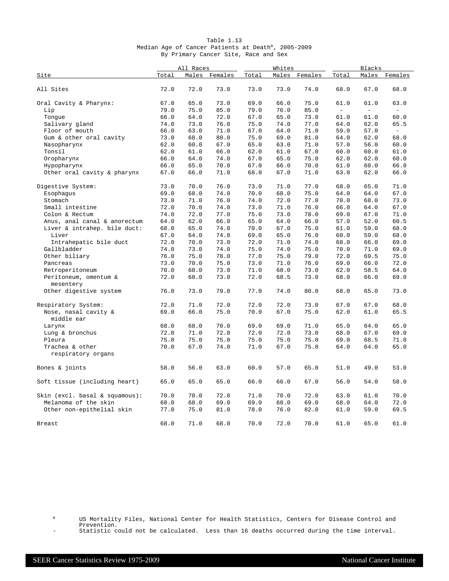|                                       |       | All Races |         | Whites |              | Blacks        |          |                          |                          |
|---------------------------------------|-------|-----------|---------|--------|--------------|---------------|----------|--------------------------|--------------------------|
| Site                                  | Total | Males     | Females | Total  |              | Males Females | Total    | Males                    | Females                  |
| All Sites                             | 72.0  | 72.0      | 73.0    | 73.0   | 73.0         | 74.0          | 68.0     | 67.0                     | 68.0                     |
|                                       |       |           |         |        |              |               |          |                          |                          |
| Oral Cavity & Pharynx:                | 67.0  | 65.0      | 73.0    | 69.0   | 66.0         | 75.0          | 61.0     | 61.0                     | 63.0                     |
| Lip                                   | 79.0  | 75.0      | 85.0    | 79.0   | 76.0         | 85.0          | $\equiv$ | $\overline{\phantom{a}}$ | $\overline{\phantom{a}}$ |
| Tonque                                | 66.0  | 64.0      | 72.0    | 67.0   | 65.0         | 73.0          | 61.0     | 61.0                     | 60.0                     |
| Salivary gland                        | 74.0  | 73.0      | 76.0    | 75.0   | 74.0         | 77.0          | 64.0     | 62.0                     | 65.5                     |
| Floor of mouth                        | 66.0  | 63.0      | 71.0    | 67.0   | 64.0         | 71.0          | 59.0     | 57.0                     | $\equiv$                 |
| Gum & other oral cavity               | 73.0  | 68.0      | 80.0    | 75.0   | 69.0         | 81.0          | 64.0     | 62.0                     | 68.0                     |
| Nasopharynx                           | 62.0  | 60.0      | 67.0    | 65.0   | 63.0         | 71.0          | 57.0     | 56.0                     | 60.0                     |
| Tonsil                                | 62.0  | 61.0      | 66.0    | 62.0   | 61.0         | 67.0          | 60.0     | 60.0                     | 61.0                     |
| Oropharynx                            | 66.0  | 64.0      | 74.0    | 67.0   | 65.0         | 75.0          | 62.0     | 62.0                     | 60.0                     |
| Hypopharynx                           | 66.0  | 65.0      | 70.0    | 67.0   | 66.0         | 70.0          | 61.0     | 60.0                     | 66.0                     |
| Other oral cavity & pharynx           | 67.0  | 66.0      | 71.0    | 68.0   | 67.0         | 71.0          | 63.0     | 62.0                     | 66.0                     |
| Digestive System:                     | 73.0  | 70.0      | 76.0    | 73.0   | 71.0         | 77.0          | 68.0     | 65.0                     | 71.0                     |
| Esophagus                             | 69.0  | 68.0      | 74.0    | 70.0   | 68.0         | 75.0          | 64.0     | 64.0                     | 67.0                     |
| Stomach                               | 73.0  | 71.0      | 76.0    | 74.0   | 72.0         | 77.0          | 70.0     | 68.0                     | 73.0                     |
| Small intestine                       | 72.0  | 70.0      | 74.0    | 73.0   | 71.0         | 76.0          | 66.0     | 64.0                     | 67.0                     |
| Colon & Rectum                        | 74.0  | 72.0      | 77.0    | 75.0   | 73.0         | 78.0          | 69.0     | 67.0                     | 71.0                     |
| Anus, anal canal & anorectum          | 64.0  | 62.0      | 66.0    | 65.0   | 64.0         | 66.0          | 57.0     | 52.0                     | 60.5                     |
| Liver & intrahep. bile duct:          | 68.0  | 65.0      | 74.0    | 70.0   | 67.0         | 75.0          | 61.0     | 59.0                     | 68.0                     |
| Liver                                 | 67.0  | 64.0      | 74.0    | 69.0   | 65.0         | 76.0          | 60.0     | 59.0                     | 68.0                     |
| Intrahepatic bile duct                | 72.0  | 70.0      | 73.0    | 72.0   | 71.0         | 74.0          | 68.0     | 66.0                     | 69.0                     |
| Gallbladder                           | 74.0  | 73.0      | 74.0    | 75.0   | 74.0         | 75.0          | 70.0     | 71.0                     | 69.0                     |
| Other biliary                         | 76.0  | 75.0      | 78.0    | 77.0   | 75.0         | 79.0          | 72.0     | 69.5                     | 75.0                     |
| Pancreas                              | 73.0  | 70.0      | 75.0    | 73.0   | 71.0         | 76.0          | 69.0     | 66.0                     | 72.0                     |
|                                       |       |           | 73.0    | 71.0   |              |               | 62.0     |                          | 64.0                     |
| Retroperitoneum                       | 70.0  | 68.0      |         | 72.0   | 68.0<br>68.5 | 73.0          |          | 58.5                     |                          |
| Peritoneum, omentum &<br>mesentery    | 72.0  | 68.0      | 73.0    |        |              | 73.0          | 68.0     | 66.0                     | 69.0                     |
| Other digestive system                | 76.0  | 73.0      | 79.0    | 77.0   | 74.0         | 80.0          | 68.0     | 65.0                     | 73.0                     |
| Respiratory System:                   | 72.0  | 71.0      | 72.0    | 72.0   | 72.0         | 73.0          | 67.0     | 67.0                     | 68.0                     |
| Nose, nasal cavity &                  | 69.0  | 66.0      | 75.0    | 70.0   | 67.0         | 75.0          | 62.0     | 61.0                     | 65.5                     |
| middle ear                            |       |           |         |        |              |               |          |                          |                          |
| Larynx                                | 68.0  | 68.0      | 70.0    | 69.0   | 69.0         | 71.0          | 65.0     | 64.0                     | 65.0                     |
| Lung & bronchus                       | 72.0  | 71.0      | 72.0    | 72.0   | 72.0         | 73.0          | 68.0     | 67.0                     | 69.0                     |
| Pleura                                | 75.0  | 75.0      | 75.0    | 75.0   | 75.0         | 75.0          | 69.0     | 68.5                     | 71.0                     |
| Trachea & other<br>respiratory organs | 70.0  | 67.0      | 74.0    | 71.0   | 67.0         | 75.0          | 64.0     | 64.0                     | 65.0                     |
| Bones & joints                        | 58.0  | 56.0      | 63.0    | 60.0   | 57.0         | 65.0          | 51.0     | 49.0                     | 53.0                     |
| Soft tissue (including heart)         | 65.0  | 65.0      | 65.0    | 66.0   | 66.0         | 67.0          | 56.0     | 54.0                     | 58.0                     |
| Skin (excl. basal & squamous):        | 70.0  | 70.0      | 72.0    | 71.0   | 70.0         | 72.0          | 63.0     | 61.0                     | 70.0                     |
| Melanoma of the skin                  | 68.0  | 68.0      | 69.0    | 69.0   | 68.0         | 69.0          | 68.0     | 64.0                     | 72.0                     |
| Other non-epithelial skin             | 77.0  | 75.0      | 81.0    | 78.0   | 76.0         | 82.0          | 61.0     | 59.0                     | 69.5                     |
| Breast                                | 68.0  | 71.0      | 68.0    | 70.0   | 72.0         | 70.0          | 61.0     | 65.0                     | 61.0                     |

| Table 1.13                                                      |  |  |  |  |  |                                      |  |  |  |  |  |  |
|-----------------------------------------------------------------|--|--|--|--|--|--------------------------------------|--|--|--|--|--|--|
| Median Age of Cancer Patients at Death <sup>a</sup> , 2005-2009 |  |  |  |  |  |                                      |  |  |  |  |  |  |
|                                                                 |  |  |  |  |  | By Primary Cancer Site, Race and Sex |  |  |  |  |  |  |

<sup>a</sup> US Mortality Files, National Center for Health Statistics, Centers for Disease Control and Prevention.

- Statistic could not be calculated. Less than 16 deaths occurred during the time interval.